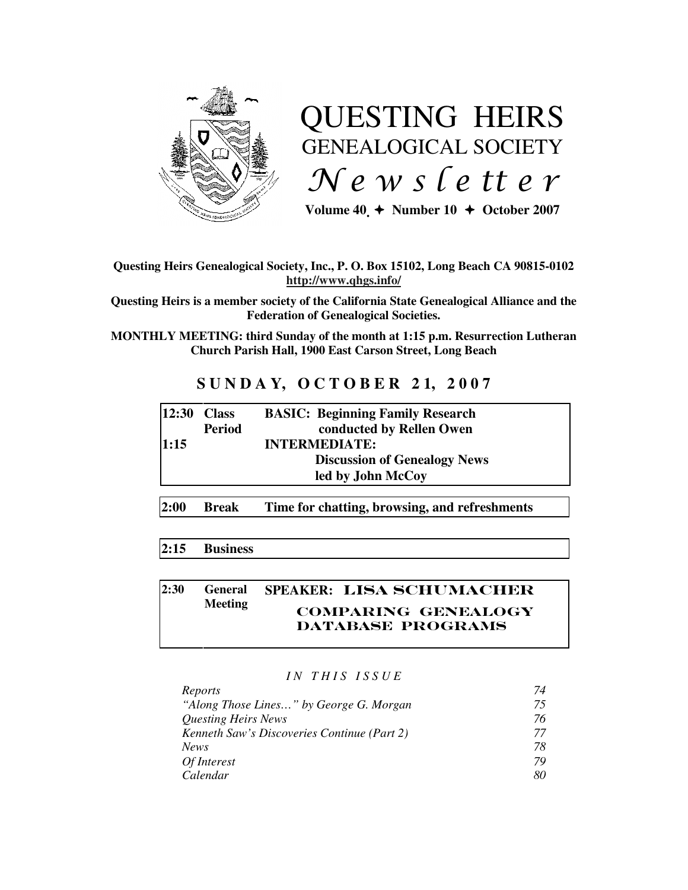

# QUESTING HEIRS GENEALOGICAL SOCIETY  $Ne$  w s letter

Volume  $40 \div \text{Number 10} \div \text{October 2007}$ 

# **Questing Heirs Genealogical Society, Inc., P. O. Box 15102, Long Beach CA 90815-0102 http://www.qhgs.info/**

**Questing Heirs is a member society of the California State Genealogical Alliance and the Federation of Genealogical Societies.** 

**MONTHLY MEETING: third Sunday of the month at 1:15 p.m. Resurrection Lutheran Church Parish Hall, 1900 East Carson Street, Long Beach** 

# **S U N D A Y, O C T O B E R 2 1, 2 0 0 7**

| $ 12:30$ Class |               | <b>BASIC: Beginning Family Research</b> |
|----------------|---------------|-----------------------------------------|
|                | <b>Period</b> | conducted by Rellen Owen                |
| 1:15           |               | <b>INTERMEDIATE:</b>                    |
|                |               | <b>Discussion of Genealogy News</b>     |
|                |               | led by John McCoy                       |
|                |               |                                         |

**2:00 Break Time for chatting, browsing, and refreshments** 

# **2:15 Business**

#### **2:30 General Meeting SPEAKER:** Lisa Schumacher Comparing Genealogy DATABASE PROGRAMS

# *I N T H I S I S S U E*

| Reports                                     | 74 |
|---------------------------------------------|----|
| "Along Those Lines" by George G. Morgan     | 75 |
| <b>Questing Heirs News</b>                  | 76 |
| Kenneth Saw's Discoveries Continue (Part 2) | 77 |
| <b>News</b>                                 | 78 |
| Of Interest                                 | 79 |
| Calendar                                    | 80 |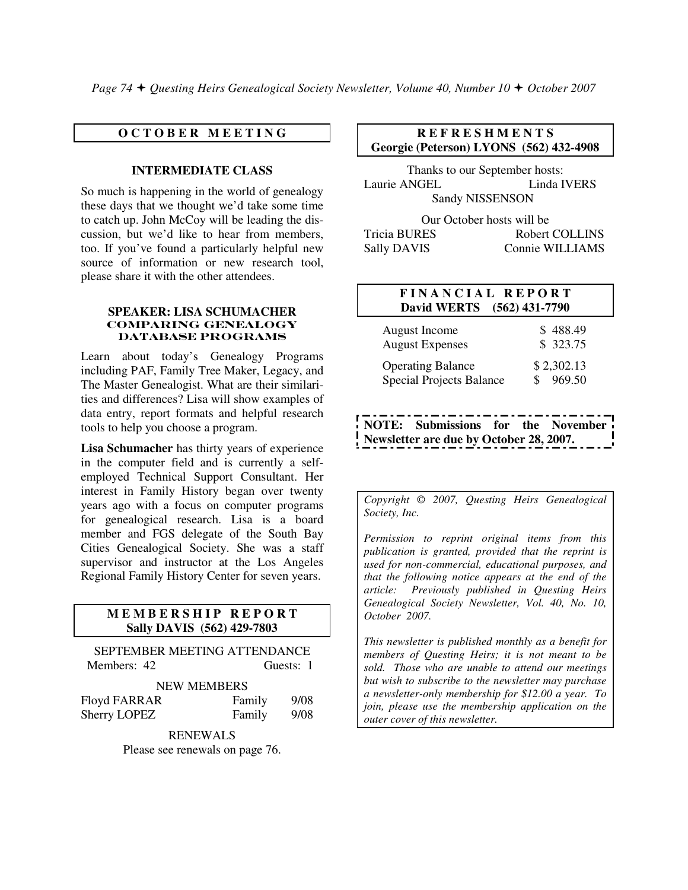*Page 74 Questing Heirs Genealogical Society Newsletter, Volume 40, Number 10 October 2007*

### **O C T O B E R M E E T I N G**

#### **INTERMEDIATE CLASS**

So much is happening in the world of genealogy these days that we thought we'd take some time to catch up. John McCoy will be leading the discussion, but we'd like to hear from members, too. If you've found a particularly helpful new source of information or new research tool, please share it with the other attendees.

#### **SPEAKER: LISA SCHUMACHER**  COMPARING GENEALOGY DATABASE PROGRAMS

Learn about today's Genealogy Programs including PAF, Family Tree Maker, Legacy, and The Master Genealogist. What are their similarities and differences? Lisa will show examples of data entry, report formats and helpful research tools to help you choose a program.

**Lisa Schumacher** has thirty years of experience in the computer field and is currently a selfemployed Technical Support Consultant. Her interest in Family History began over twenty years ago with a focus on computer programs for genealogical research. Lisa is a board member and FGS delegate of the South Bay Cities Genealogical Society. She was a staff supervisor and instructor at the Los Angeles Regional Family History Center for seven years.

#### **M E M B E R S H I P R E P O R T Sally DAVIS (562) 429-7803**

SEPTEMBER MEETING ATTENDANCE Members: 42 Guests: 1

#### NEW MEMBERS

| Floyd FARRAR        | Family | 9/08 |
|---------------------|--------|------|
| <b>Sherry LOPEZ</b> | Family | 9/08 |

RENEWALS

Please see renewals on page 76.

# **R E F R E S H M E N T S Georgie (Peterson) LYONS (562) 432-4908**

Thanks to our September hosts: Laurie ANGEL Linda IVERS Sandy NISSENSON

Our October hosts will be Tricia BURES Robert COLLINS Sally DAVIS Connie WILLIAMS

# **F I N A N C I A L R E P O R T David WERTS (562) 431-7790**

| August Income            | \$488.49   |
|--------------------------|------------|
| <b>August Expenses</b>   | \$ 323.75  |
| <b>Operating Balance</b> | \$2,302.13 |
| Special Projects Balance | 969.50     |

 **NOTE: Submissions for the November Newsletter are due by October 28, 2007.** 

*Copyright* © *2007, Questing Heirs Genealogical Society, Inc.* 

*Permission to reprint original items from this publication is granted, provided that the reprint is used for non-commercial, educational purposes, and that the following notice appears at the end of the article: Previously published in Questing Heirs Genealogical Society Newsletter, Vol. 40, No. 10, October 2007.* 

*This newsletter is published monthly as a benefit for members of Questing Heirs; it is not meant to be sold. Those who are unable to attend our meetings but wish to subscribe to the newsletter may purchase a newsletter-only membership for \$12.00 a year. To join, please use the membership application on the outer cover of this newsletter.*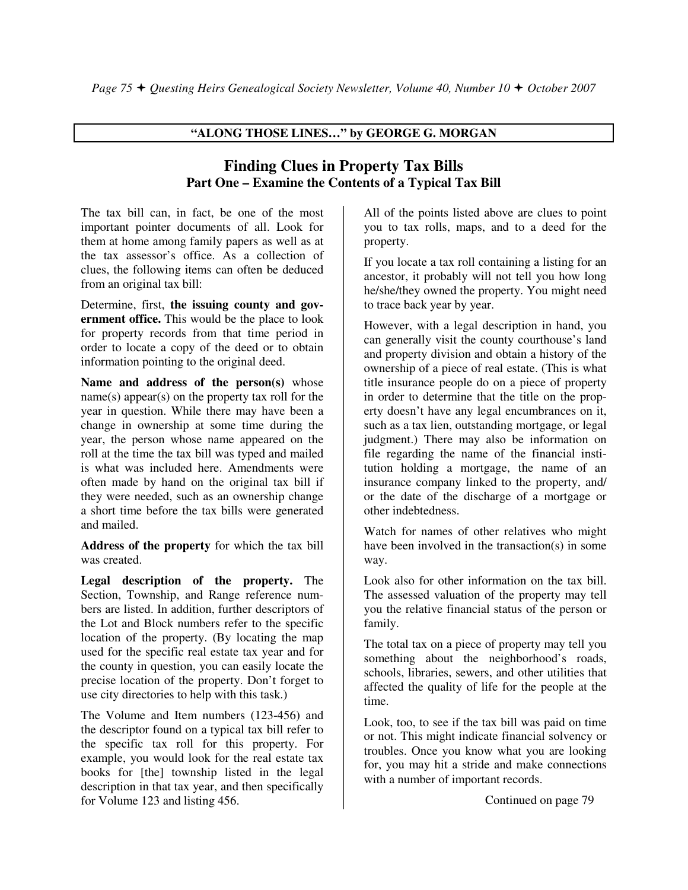# **"ALONG THOSE LINES…" by GEORGE G. MORGAN**

# **Finding Clues in Property Tax Bills Part One – Examine the Contents of a Typical Tax Bill**

The tax bill can, in fact, be one of the most important pointer documents of all. Look for them at home among family papers as well as at the tax assessor's office. As a collection of clues, the following items can often be deduced from an original tax bill:

Determine, first, **the issuing county and government office.** This would be the place to look for property records from that time period in order to locate a copy of the deed or to obtain information pointing to the original deed.

**Name and address of the person(s)** whose name(s) appear(s) on the property tax roll for the year in question. While there may have been a change in ownership at some time during the year, the person whose name appeared on the roll at the time the tax bill was typed and mailed is what was included here. Amendments were often made by hand on the original tax bill if they were needed, such as an ownership change a short time before the tax bills were generated and mailed.

**Address of the property** for which the tax bill was created.

**Legal description of the property.** The Section, Township, and Range reference numbers are listed. In addition, further descriptors of the Lot and Block numbers refer to the specific location of the property. (By locating the map used for the specific real estate tax year and for the county in question, you can easily locate the precise location of the property. Don't forget to use city directories to help with this task.)

The Volume and Item numbers (123-456) and the descriptor found on a typical tax bill refer to the specific tax roll for this property. For example, you would look for the real estate tax books for [the] township listed in the legal description in that tax year, and then specifically for Volume 123 and listing 456.

All of the points listed above are clues to point you to tax rolls, maps, and to a deed for the property.

If you locate a tax roll containing a listing for an ancestor, it probably will not tell you how long he/she/they owned the property. You might need to trace back year by year.

However, with a legal description in hand, you can generally visit the county courthouse's land and property division and obtain a history of the ownership of a piece of real estate. (This is what title insurance people do on a piece of property in order to determine that the title on the property doesn't have any legal encumbrances on it, such as a tax lien, outstanding mortgage, or legal judgment.) There may also be information on file regarding the name of the financial institution holding a mortgage, the name of an insurance company linked to the property, and/ or the date of the discharge of a mortgage or other indebtedness.

Watch for names of other relatives who might have been involved in the transaction(s) in some way.

Look also for other information on the tax bill. The assessed valuation of the property may tell you the relative financial status of the person or family.

The total tax on a piece of property may tell you something about the neighborhood's roads, schools, libraries, sewers, and other utilities that affected the quality of life for the people at the time.

Look, too, to see if the tax bill was paid on time or not. This might indicate financial solvency or troubles. Once you know what you are looking for, you may hit a stride and make connections with a number of important records.

Continued on page 79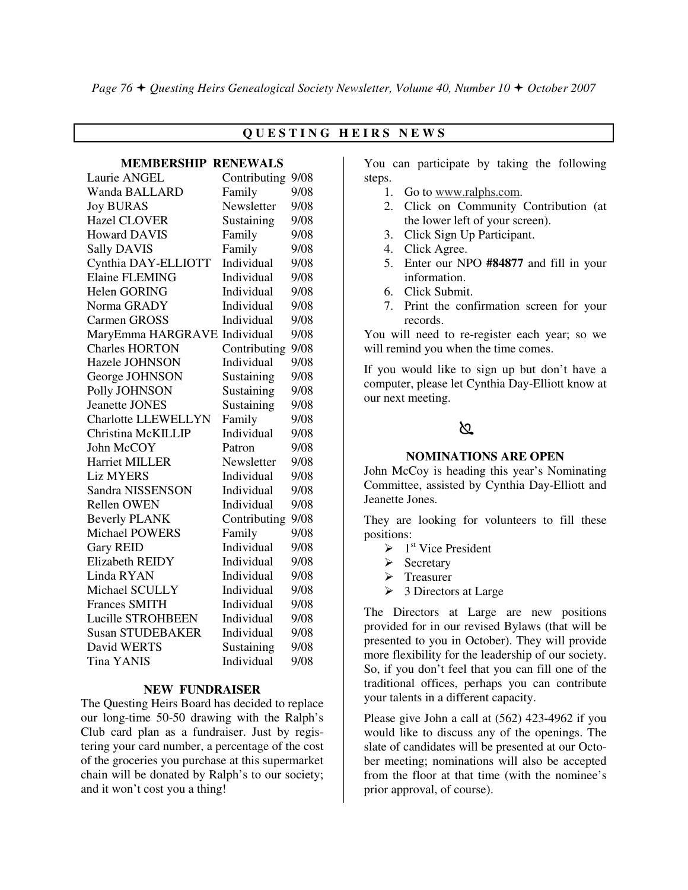# **Q U E S T I N G H E I R S N E W S**

#### **MEMBERSHIP RENEWALS**

| Laurie ANGEL                 | Contributing | 9/08 |
|------------------------------|--------------|------|
| <b>Wanda BALLARD</b>         | Family       | 9/08 |
| <b>Joy BURAS</b>             | Newsletter   | 9/08 |
| <b>Hazel CLOVER</b>          | Sustaining   | 9/08 |
| <b>Howard DAVIS</b>          | Family       | 9/08 |
| <b>Sally DAVIS</b>           | Family       | 9/08 |
| Cynthia DAY-ELLIOTT          | Individual   | 9/08 |
| Elaine FLEMING               | Individual   | 9/08 |
| Helen GORING                 | Individual   | 9/08 |
| Norma GRADY                  | Individual   | 9/08 |
| Carmen GROSS                 | Individual   | 9/08 |
| MaryEmma HARGRAVE Individual |              | 9/08 |
| <b>Charles HORTON</b>        | Contributing | 9/08 |
| Hazele JOHNSON               | Individual   | 9/08 |
| George JOHNSON               | Sustaining   | 9/08 |
| Polly JOHNSON                | Sustaining   | 9/08 |
| <b>Jeanette JONES</b>        | Sustaining   | 9/08 |
| <b>Charlotte LLEWELLYN</b>   | Family       | 9/08 |
| Christina McKILLIP           | Individual   | 9/08 |
| John McCOY                   | Patron       | 9/08 |
| <b>Harriet MILLER</b>        | Newsletter   | 9/08 |
| <b>Liz MYERS</b>             | Individual   | 9/08 |
| Sandra NISSENSON             | Individual   | 9/08 |
| <b>Rellen OWEN</b>           | Individual   | 9/08 |
| <b>Beverly PLANK</b>         | Contributing | 9/08 |
| <b>Michael POWERS</b>        | Family       | 9/08 |
| <b>Gary REID</b>             | Individual   | 9/08 |
| Elizabeth REIDY              | Individual   | 9/08 |
| Linda RYAN                   | Individual   | 9/08 |
| Michael SCULLY               | Individual   | 9/08 |
| <b>Frances SMITH</b>         | Individual   | 9/08 |
| Lucille STROHBEEN            | Individual   | 9/08 |
| <b>Susan STUDEBAKER</b>      | Individual   | 9/08 |
| David WERTS                  | Sustaining   | 9/08 |
| <b>Tina YANIS</b>            | Individual   | 9/08 |

#### **NEW FUNDRAISER**

The Questing Heirs Board has decided to replace our long-time 50-50 drawing with the Ralph's Club card plan as a fundraiser. Just by registering your card number, a percentage of the cost of the groceries you purchase at this supermarket chain will be donated by Ralph's to our society; and it won't cost you a thing!

You can participate by taking the following steps.

- 1. Go to www.ralphs.com.
- 2. Click on Community Contribution (at the lower left of your screen).
- 3. Click Sign Up Participant.
- 4. Click Agree.
- 5. Enter our NPO **#84877** and fill in your information.
- 6. Click Submit.
- 7. Print the confirmation screen for your records.

You will need to re-register each year; so we will remind you when the time comes.

If you would like to sign up but don't have a computer, please let Cynthia Day-Elliott know at our next meeting.

# ∖Ջ

#### **NOMINATIONS ARE OPEN**

John McCoy is heading this year's Nominating Committee, assisted by Cynthia Day-Elliott and Jeanette Jones.

They are looking for volunteers to fill these positions:

- $\triangleright$  1<sup>st</sup> Vice President
- $\triangleright$  Secretary
- $\triangleright$  Treasurer
- $\geq 3$  Directors at Large

The Directors at Large are new positions provided for in our revised Bylaws (that will be presented to you in October). They will provide more flexibility for the leadership of our society. So, if you don't feel that you can fill one of the traditional offices, perhaps you can contribute your talents in a different capacity.

Please give John a call at (562) 423-4962 if you would like to discuss any of the openings. The slate of candidates will be presented at our October meeting; nominations will also be accepted from the floor at that time (with the nominee's prior approval, of course).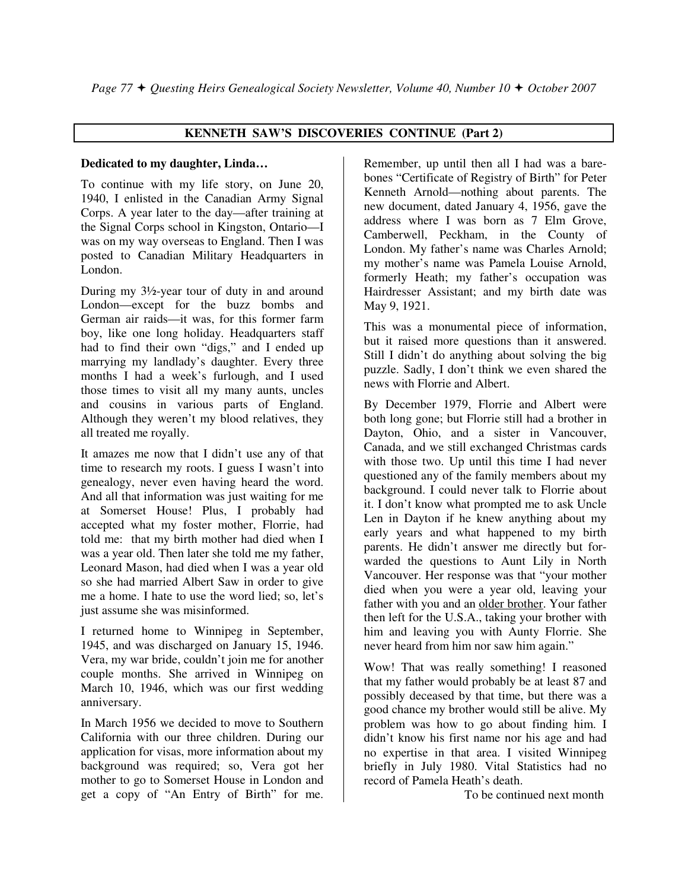# **KENNETH SAW'S DISCOVERIES CONTINUE (Part 2)**

# **Dedicated to my daughter, Linda…**

To continue with my life story, on June 20, 1940, I enlisted in the Canadian Army Signal Corps. A year later to the day—after training at the Signal Corps school in Kingston, Ontario—I was on my way overseas to England. Then I was posted to Canadian Military Headquarters in London.

During my 3½-year tour of duty in and around London—except for the buzz bombs and German air raids—it was, for this former farm boy, like one long holiday. Headquarters staff had to find their own "digs," and I ended up marrying my landlady's daughter. Every three months I had a week's furlough, and I used those times to visit all my many aunts, uncles and cousins in various parts of England. Although they weren't my blood relatives, they all treated me royally.

It amazes me now that I didn't use any of that time to research my roots. I guess I wasn't into genealogy, never even having heard the word. And all that information was just waiting for me at Somerset House! Plus, I probably had accepted what my foster mother, Florrie, had told me: that my birth mother had died when I was a year old. Then later she told me my father, Leonard Mason, had died when I was a year old so she had married Albert Saw in order to give me a home. I hate to use the word lied; so, let's just assume she was misinformed.

I returned home to Winnipeg in September, 1945, and was discharged on January 15, 1946. Vera, my war bride, couldn't join me for another couple months. She arrived in Winnipeg on March 10, 1946, which was our first wedding anniversary.

In March 1956 we decided to move to Southern California with our three children. During our application for visas, more information about my background was required; so, Vera got her mother to go to Somerset House in London and get a copy of "An Entry of Birth" for me.

Remember, up until then all I had was a barebones "Certificate of Registry of Birth" for Peter Kenneth Arnold—nothing about parents. The new document, dated January 4, 1956, gave the address where I was born as 7 Elm Grove, Camberwell, Peckham, in the County of London. My father's name was Charles Arnold; my mother's name was Pamela Louise Arnold, formerly Heath; my father's occupation was Hairdresser Assistant; and my birth date was May 9, 1921.

This was a monumental piece of information, but it raised more questions than it answered. Still I didn't do anything about solving the big puzzle. Sadly, I don't think we even shared the news with Florrie and Albert.

By December 1979, Florrie and Albert were both long gone; but Florrie still had a brother in Dayton, Ohio, and a sister in Vancouver, Canada, and we still exchanged Christmas cards with those two. Up until this time I had never questioned any of the family members about my background. I could never talk to Florrie about it. I don't know what prompted me to ask Uncle Len in Dayton if he knew anything about my early years and what happened to my birth parents. He didn't answer me directly but forwarded the questions to Aunt Lily in North Vancouver. Her response was that "your mother died when you were a year old, leaving your father with you and an older brother. Your father then left for the U.S.A., taking your brother with him and leaving you with Aunty Florrie. She never heard from him nor saw him again."

Wow! That was really something! I reasoned that my father would probably be at least 87 and possibly deceased by that time, but there was a good chance my brother would still be alive. My problem was how to go about finding him. I didn't know his first name nor his age and had no expertise in that area. I visited Winnipeg briefly in July 1980. Vital Statistics had no record of Pamela Heath's death.

To be continued next month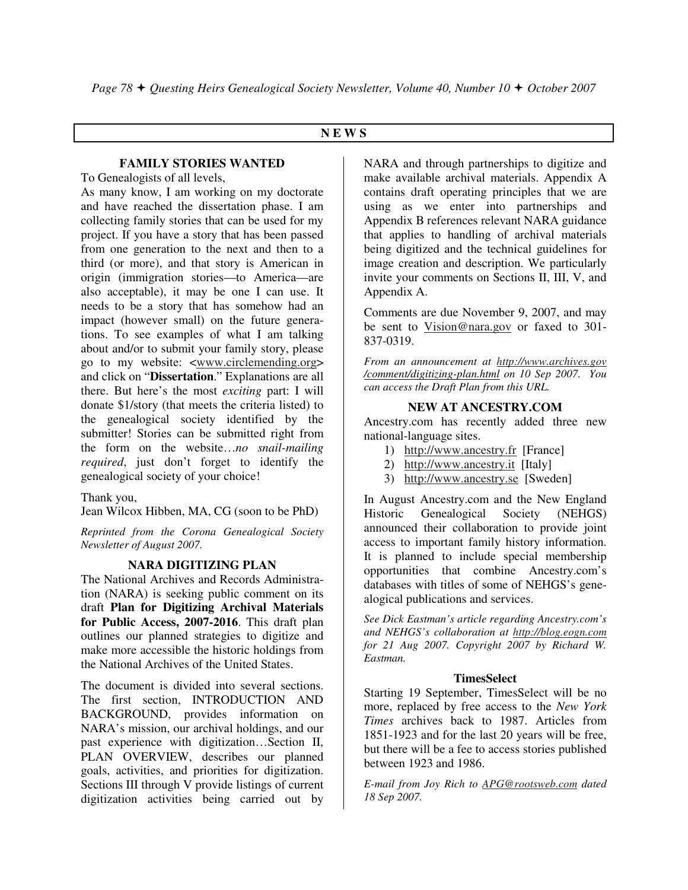# **N E W S**

# **FAMILY STORIES WANTED**

To Genealogists of all levels,

As many know, I am working on my doctorate and have reached the dissertation phase. I am collecting family stories that can be used for my project. If you have a story that has been passed from one generation to the next and then to a third (or more), and that story is American in origin (immigration stories—to America—are also acceptable), it may be one I can use. It needs to be a story that has somehow had an impact (however small) on the future generations. To see examples of what I am talking about and/or to submit your family story, please go to my website: <www.circlemending.org> and click on "**Dissertation**." Explanations are all there. But here's the most *exciting* part: I will donate \$1/story (that meets the criteria listed) to the genealogical society identified by the submitter! Stories can be submitted right from the form on the website…*no snail-mailing required*, just don't forget to identify the genealogical society of your choice!

Thank you,

Jean Wilcox Hibben, MA, CG (soon to be PhD)

*Reprinted from the Corona Genealogical Society Newsletter of August 2007.* 

# **NARA DIGITIZING PLAN**

The National Archives and Records Administration (NARA) is seeking public comment on its draft **Plan for Digitizing Archival Materials for Public Access, 2007-2016**. This draft plan outlines our planned strategies to digitize and make more accessible the historic holdings from the National Archives of the United States.

The document is divided into several sections. The first section, INTRODUCTION AND BACKGROUND, provides information on NARA's mission, our archival holdings, and our past experience with digitization…Section II, PLAN OVERVIEW, describes our planned goals, activities, and priorities for digitization. Sections III through V provide listings of current digitization activities being carried out by

NARA and through partnerships to digitize and make available archival materials. Appendix A contains draft operating principles that we are using as we enter into partnerships and Appendix B references relevant NARA guidance that applies to handling of archival materials being digitized and the technical guidelines for image creation and description. We particularly invite your comments on Sections II, III, V, and Appendix A.

Comments are due November 9, 2007, and may be sent to Vision@nara.gov or faxed to 301- 837-0319.

*From an announcement at http://www.archives.gov /comment/digitizing-plan.html on 10 Sep 2007. You can access the Draft Plan from this URL.* 

# **NEW AT ANCESTRY.COM**

Ancestry.com has recently added three new national-language sites.

- 1) http://www.ancestry.fr [France]
- 2) http://www.ancestry.it [Italy]
- 3) http://www.ancestry.se [Sweden]

In August Ancestry.com and the New England Historic Genealogical Society (NEHGS) announced their collaboration to provide joint access to important family history information. It is planned to include special membership opportunities that combine Ancestry.com's databases with titles of some of NEHGS's genealogical publications and services.

*See Dick Eastman's article regarding Ancestry.com's and NEHGS's collaboration at http://blog.eogn.com for 21 Aug 2007. Copyright 2007 by Richard W. Eastman.* 

# **TimesSelect**

Starting 19 September, TimesSelect will be no more, replaced by free access to the *New York Times* archives back to 1987. Articles from 1851-1923 and for the last 20 years will be free, but there will be a fee to access stories published between 1923 and 1986.

*E-mail from Joy Rich to APG@rootsweb.com dated 18 Sep 2007.*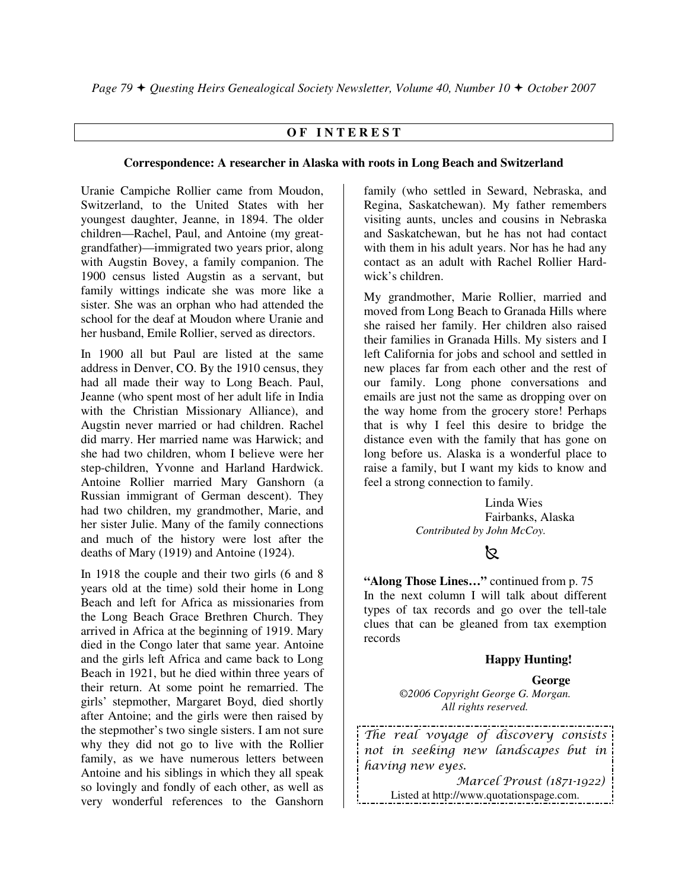# **O F I N T E R E S T**

#### **Correspondence: A researcher in Alaska with roots in Long Beach and Switzerland**

Uranie Campiche Rollier came from Moudon, Switzerland, to the United States with her youngest daughter, Jeanne, in 1894. The older children—Rachel, Paul, and Antoine (my greatgrandfather)—immigrated two years prior, along with Augstin Bovey, a family companion. The 1900 census listed Augstin as a servant, but family wittings indicate she was more like a sister. She was an orphan who had attended the school for the deaf at Moudon where Uranie and her husband, Emile Rollier, served as directors.

In 1900 all but Paul are listed at the same address in Denver, CO. By the 1910 census, they had all made their way to Long Beach. Paul, Jeanne (who spent most of her adult life in India with the Christian Missionary Alliance), and Augstin never married or had children. Rachel did marry. Her married name was Harwick; and she had two children, whom I believe were her step-children, Yvonne and Harland Hardwick. Antoine Rollier married Mary Ganshorn (a Russian immigrant of German descent). They had two children, my grandmother, Marie, and her sister Julie. Many of the family connections and much of the history were lost after the deaths of Mary (1919) and Antoine (1924).

In 1918 the couple and their two girls (6 and 8 years old at the time) sold their home in Long Beach and left for Africa as missionaries from the Long Beach Grace Brethren Church. They arrived in Africa at the beginning of 1919. Mary died in the Congo later that same year. Antoine and the girls left Africa and came back to Long Beach in 1921, but he died within three years of their return. At some point he remarried. The girls' stepmother, Margaret Boyd, died shortly after Antoine; and the girls were then raised by the stepmother's two single sisters. I am not sure why they did not go to live with the Rollier family, as we have numerous letters between Antoine and his siblings in which they all speak so lovingly and fondly of each other, as well as very wonderful references to the Ganshorn family (who settled in Seward, Nebraska, and Regina, Saskatchewan). My father remembers visiting aunts, uncles and cousins in Nebraska and Saskatchewan, but he has not had contact with them in his adult years. Nor has he had any contact as an adult with Rachel Rollier Hardwick's children.

My grandmother, Marie Rollier, married and moved from Long Beach to Granada Hills where she raised her family. Her children also raised their families in Granada Hills. My sisters and I left California for jobs and school and settled in new places far from each other and the rest of our family. Long phone conversations and emails are just not the same as dropping over on the way home from the grocery store! Perhaps that is why I feel this desire to bridge the distance even with the family that has gone on long before us. Alaska is a wonderful place to raise a family, but I want my kids to know and feel a strong connection to family.

> Linda Wies Fairbanks, Alaska  *Contributed by John McCoy.*

# $\mathbb{Z}$

**"Along Those Lines…"** continued from p. 75 In the next column I will talk about different types of tax records and go over the tell-tale clues that can be gleaned from tax exemption records

# **Happy Hunting!**

#### **George**

*©2006 Copyright George G. Morgan. All rights reserved.* 

The real voyage of discovery consists not in seeking new landscapes but in having new eyes.

 Marcel Proust (1871-1922) Listed at http://www.quotationspage.com.